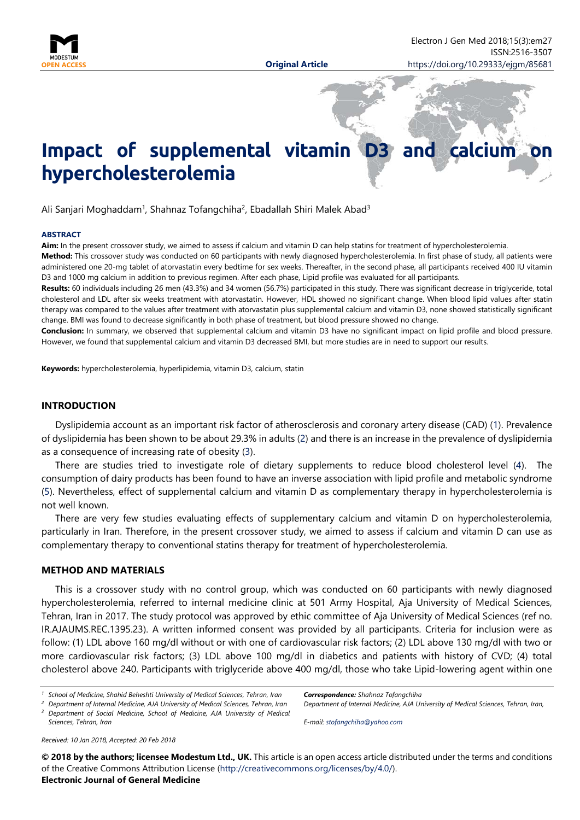

# **Impact of supplemental vitamin D3 and calcium hypercholesterolemia**

Ali Sanjari Moghaddam<sup>1</sup>, Shahnaz Tofangchiha<sup>2</sup>, Ebadallah Shiri Malek Abad<sup>3</sup>

#### **ABSTRACT**

Aim: In the present crossover study, we aimed to assess if calcium and vitamin D can help statins for treatment of hypercholesterolemia.

**Method:** This crossover study was conducted on 60 participants with newly diagnosed hypercholesterolemia. In first phase of study, all patients were administered one 20-mg tablet of atorvastatin every bedtime for sex weeks. Thereafter, in the second phase, all participants received 400 IU vitamin D3 and 1000 mg calcium in addition to previous regimen. After each phase, Lipid profile was evaluated for all participants.

**Results:** 60 individuals including 26 men (43.3%) and 34 women (56.7%) participated in this study. There was significant decrease in triglyceride, total cholesterol and LDL after six weeks treatment with atorvastatin. However, HDL showed no significant change. When blood lipid values after statin therapy was compared to the values after treatment with atorvastatin plus supplemental calcium and vitamin D3, none showed statistically significant change. BMI was found to decrease significantly in both phase of treatment, but blood pressure showed no change.

**Conclusion:** In summary, we observed that supplemental calcium and vitamin D3 have no significant impact on lipid profile and blood pressure. However, we found that supplemental calcium and vitamin D3 decreased BMI, but more studies are in need to support our results.

**Keywords:** hypercholesterolemia, hyperlipidemia, vitamin D3, calcium, statin

# **INTRODUCTION**

Dyslipidemia account as an important risk factor of atherosclerosis and coronary artery disease (CAD) (1). Prevalence of dyslipidemia has been shown to be about 29.3% in adults (2) and there is an increase in the prevalence of dyslipidemia as a consequence of increasing rate of obesity (3).

There are studies tried to investigate role of dietary supplements to reduce blood cholesterol level (4). The consumption of dairy products has been found to have an inverse association with lipid profile and metabolic syndrome (5). Nevertheless, effect of supplemental calcium and vitamin D as complementary therapy in hypercholesterolemia is not well known.

There are very few studies evaluating effects of supplementary calcium and vitamin D on hypercholesterolemia, particularly in Iran. Therefore, in the present crossover study, we aimed to assess if calcium and vitamin D can use as complementary therapy to conventional statins therapy for treatment of hypercholesterolemia.

## **METHOD AND MATERIALS**

This is a crossover study with no control group, which was conducted on 60 participants with newly diagnosed hypercholesterolemia, referred to internal medicine clinic at 501 Army Hospital, Aja University of Medical Sciences, Tehran, Iran in 2017. The study protocol was approved by ethic committee of Aja University of Medical Sciences (ref no. IR.AJAUMS.REC.1395.23). A written informed consent was provided by all participants. Criteria for inclusion were as follow: (1) LDL above 160 mg/dl without or with one of cardiovascular risk factors; (2) LDL above 130 mg/dl with two or more cardiovascular risk factors; (3) LDL above 100 mg/dl in diabetics and patients with history of CVD; (4) total cholesterol above 240. Participants with triglyceride above 400 mg/dl, those who take Lipid-lowering agent within one

*<sup>2</sup> Department of Internal Medicine, AJA University of Medical Sciences, Tehran, Iran*

*<sup>3</sup> Department of Social Medicine, School of Medicine, AJA University of Medical Sciences, Tehran, Iran*

*E-mail: [stofangchiha@yahoo.com](mailto:stofangchiha@yahoo.com)*

*Received: 10 Jan 2018, Accepted: 20 Feb 2018*

**© 2018 by the authors; licensee Modestum Ltd., UK.** This article is an open access article distributed under the terms and conditions of the Creative Commons Attribution License [\(http://creativecommons.org/licenses/by/4.0/\)](http://creativecommons.org/licenses/by/4.0/). **Electronic Journal of General Medicine**

*<sup>1</sup> School of Medicine, Shahid Beheshti University of Medical Sciences, Tehran, Iran*

*Correspondence: Shahnaz Tofangchiha Department of Internal Medicine, AJA University of Medical Sciences, Tehran, Iran,*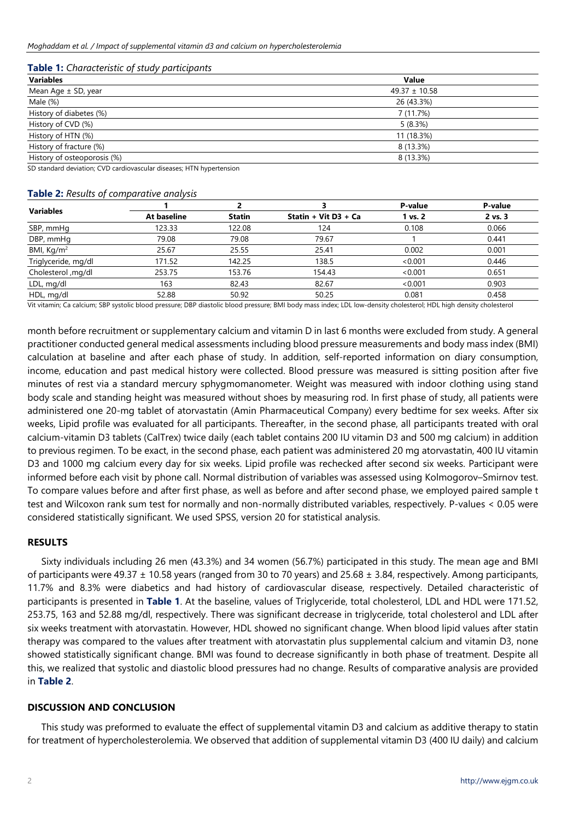| Table 1: Characteristic of study participants |  |  |
|-----------------------------------------------|--|--|
|-----------------------------------------------|--|--|

| <b>Variables</b>            | Value                 |  |  |  |
|-----------------------------|-----------------------|--|--|--|
| Mean Age ± SD, year         | $49.37 \pm 10.58$     |  |  |  |
| Male (%)                    | 26 (43.3%)            |  |  |  |
| History of diabetes (%)     | 7 (11.7%)             |  |  |  |
| History of CVD (%)          | 5(8.3%)<br>11 (18.3%) |  |  |  |
| History of HTN (%)          |                       |  |  |  |
| History of fracture (%)     | 8 (13.3%)             |  |  |  |
| History of osteoporosis (%) | 8 (13.3%)             |  |  |  |
|                             |                       |  |  |  |

SD standard deviation; CVD cardiovascular diseases; HTN hypertension

### **Table 2:** *Results of comparative analysis*

| <b>Variables</b>       |             |               |                      | P-value | P-value |
|------------------------|-------------|---------------|----------------------|---------|---------|
|                        | At baseline | <b>Statin</b> | Statin + Vit D3 + Ca | 1 vs. 2 | 2 vs. 3 |
| SBP, mmHg              | 123.33      | 122.08        | 124                  | 0.108   | 0.066   |
| DBP, mmHg              | 79.08       | 79.08         | 79.67                |         | 0.441   |
| BMI, Kg/m <sup>2</sup> | 25.67       | 25.55         | 25.41                | 0.002   | 0.001   |
| Triglyceride, mg/dl    | 171.52      | 142.25        | 138.5                | < 0.001 | 0.446   |
| Cholesterol ,mg/dl     | 253.75      | 153.76        | 154.43               | < 0.001 | 0.651   |
| LDL, mg/dl             | 163         | 82.43         | 82.67                | < 0.001 | 0.903   |
| HDL, mg/dl             | 52.88       | 50.92         | 50.25                | 0.081   | 0.458   |

Vit vitamin; Ca calcium; SBP systolic blood pressure; DBP diastolic blood pressure; BMI body mass index; LDL low-density cholesterol; HDL high density cholesterol

month before recruitment or supplementary calcium and vitamin D in last 6 months were excluded from study. A general practitioner conducted general medical assessments including blood pressure measurements and body mass index (BMI) calculation at baseline and after each phase of study. In addition, self-reported information on diary consumption, income, education and past medical history were collected. Blood pressure was measured is sitting position after five minutes of rest via a standard mercury sphygmomanometer. Weight was measured with indoor clothing using stand body scale and standing height was measured without shoes by measuring rod. In first phase of study, all patients were administered one 20-mg tablet of atorvastatin (Amin Pharmaceutical Company) every bedtime for sex weeks. After six weeks, Lipid profile was evaluated for all participants. Thereafter, in the second phase, all participants treated with oral calcium-vitamin D3 tablets (CalTrex) twice daily (each tablet contains 200 IU vitamin D3 and 500 mg calcium) in addition to previous regimen. To be exact, in the second phase, each patient was administered 20 mg atorvastatin, 400 IU vitamin D3 and 1000 mg calcium every day for six weeks. Lipid profile was rechecked after second six weeks. Participant were informed before each visit by phone call. Normal distribution of variables was assessed using Kolmogorov–Smirnov test. To compare values before and after first phase, as well as before and after second phase, we employed paired sample t test and Wilcoxon rank sum test for normally and non-normally distributed variables, respectively. P-values < 0.05 were considered statistically significant. We used SPSS, version 20 for statistical analysis.

#### **RESULTS**

Sixty individuals including 26 men (43.3%) and 34 women (56.7%) participated in this study. The mean age and BMI of participants were 49.37  $\pm$  10.58 years (ranged from 30 to 70 years) and 25.68  $\pm$  3.84, respectively. Among participants, 11.7% and 8.3% were diabetics and had history of cardiovascular disease, respectively. Detailed characteristic of participants is presented in **Table 1**. At the baseline, values of Triglyceride, total cholesterol, LDL and HDL were 171.52, 253.75, 163 and 52.88 mg/dl, respectively. There was significant decrease in triglyceride, total cholesterol and LDL after six weeks treatment with atorvastatin. However, HDL showed no significant change. When blood lipid values after statin therapy was compared to the values after treatment with atorvastatin plus supplemental calcium and vitamin D3, none showed statistically significant change. BMI was found to decrease significantly in both phase of treatment. Despite all this, we realized that systolic and diastolic blood pressures had no change. Results of comparative analysis are provided in **Table 2**.

## **DISCUSSION AND CONCLUSION**

This study was preformed to evaluate the effect of supplemental vitamin D3 and calcium as additive therapy to statin for treatment of hypercholesterolemia. We observed that addition of supplemental vitamin D3 (400 IU daily) and calcium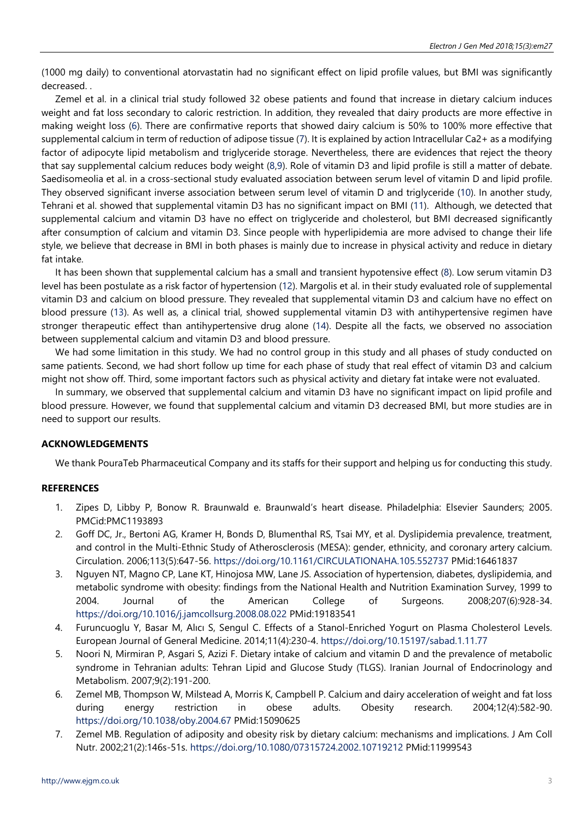(1000 mg daily) to conventional atorvastatin had no significant effect on lipid profile values, but BMI was significantly decreased. .

Zemel et al. in a clinical trial study followed 32 obese patients and found that increase in dietary calcium induces weight and fat loss secondary to caloric restriction. In addition, they revealed that dairy products are more effective in making weight loss (6). There are confirmative reports that showed dairy calcium is 50% to 100% more effective that supplemental calcium in term of reduction of adipose tissue (7). It is explained by action Intracellular Ca2+ as a modifying factor of adipocyte lipid metabolism and triglyceride storage. Nevertheless, there are evidences that reject the theory that say supplemental calcium reduces body weight (8,9). Role of vitamin D3 and lipid profile is still a matter of debate. Saedisomeolia et al. in a cross-sectional study evaluated association between serum level of vitamin D and lipid profile. They observed significant inverse association between serum level of vitamin D and triglyceride (10). In another study, Tehrani et al. showed that supplemental vitamin D3 has no significant impact on BMI (11). Although, we detected that supplemental calcium and vitamin D3 have no effect on triglyceride and cholesterol, but BMI decreased significantly after consumption of calcium and vitamin D3. Since people with hyperlipidemia are more advised to change their life style, we believe that decrease in BMI in both phases is mainly due to increase in physical activity and reduce in dietary fat intake.

It has been shown that supplemental calcium has a small and transient hypotensive effect (8). Low serum vitamin D3 level has been postulate as a risk factor of hypertension (12). Margolis et al. in their study evaluated role of supplemental vitamin D3 and calcium on blood pressure. They revealed that supplemental vitamin D3 and calcium have no effect on blood pressure (13). As well as, a clinical trial, showed supplemental vitamin D3 with antihypertensive regimen have stronger therapeutic effect than antihypertensive drug alone (14). Despite all the facts, we observed no association between supplemental calcium and vitamin D3 and blood pressure.

We had some limitation in this study. We had no control group in this study and all phases of study conducted on same patients. Second, we had short follow up time for each phase of study that real effect of vitamin D3 and calcium might not show off. Third, some important factors such as physical activity and dietary fat intake were not evaluated.

In summary, we observed that supplemental calcium and vitamin D3 have no significant impact on lipid profile and blood pressure. However, we found that supplemental calcium and vitamin D3 decreased BMI, but more studies are in need to support our results.

# **ACKNOWLEDGEMENTS**

We thank PouraTeb Pharmaceutical Company and its staffs for their support and helping us for conducting this study.

# **REFERENCES**

- 1. Zipes D, Libby P, Bonow R. Braunwald e. Braunwald's heart disease. Philadelphia: Elsevier Saunders; 2005. PMCid:PMC1193893
- 2. Goff DC, Jr., Bertoni AG, Kramer H, Bonds D, Blumenthal RS, Tsai MY, et al. Dyslipidemia prevalence, treatment, and control in the Multi-Ethnic Study of Atherosclerosis (MESA): gender, ethnicity, and coronary artery calcium. Circulation. 2006;113(5):647-56. <https://doi.org/10.1161/CIRCULATIONAHA.105.552737> PMid:16461837
- 3. Nguyen NT, Magno CP, Lane KT, Hinojosa MW, Lane JS. Association of hypertension, diabetes, dyslipidemia, and metabolic syndrome with obesity: findings from the National Health and Nutrition Examination Survey, 1999 to 2004. Journal of the American College of Surgeons. 2008;207(6):928-34. <https://doi.org/10.1016/j.jamcollsurg.2008.08.022> PMid:19183541
- 4. Furuncuoglu Y, Basar M, Alıcı S, Sengul C. Effects of a Stanol-Enriched Yogurt on Plasma Cholesterol Levels. European Journal of General Medicine. 2014;11(4):230-4. <https://doi.org/10.15197/sabad.1.11.77>
- 5. Noori N, Mirmiran P, Asgari S, Azizi F. Dietary intake of calcium and vitamin D and the prevalence of metabolic syndrome in Tehranian adults: Tehran Lipid and Glucose Study (TLGS). Iranian Journal of Endocrinology and Metabolism. 2007;9(2):191-200.
- 6. Zemel MB, Thompson W, Milstead A, Morris K, Campbell P. Calcium and dairy acceleration of weight and fat loss during energy restriction in obese adults. Obesity research. 2004;12(4):582-90. <https://doi.org/10.1038/oby.2004.67> PMid:15090625
- 7. Zemel MB. Regulation of adiposity and obesity risk by dietary calcium: mechanisms and implications. J Am Coll Nutr. 2002;21(2):146s-51s. <https://doi.org/10.1080/07315724.2002.10719212> PMid:11999543